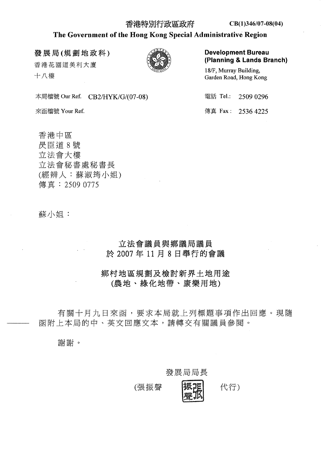#### 香港特別行政區政府

## The Government of the Hong Kong Special Administrative Region

發展局(規劃地政科)

香港花園道美利大廈 十八樓

本局檔號 Our Ref. CB2/HYK/G/(07-08)

來函檔號 Your Ref.

香港中區 昃臣道8號 立法會大樓 立法會秘書處秘書長 (經辨人:蘇淑筠小姐) 傳真: 2509 0775

蘇小姐:

# 立法會議員與鄉議局議員 於 2007年11月8日舉行的會議

鄉村地區規劃及檢討新界土地用途 (農地、綠化地帶、康樂用地)

有關十月九日來函,要求本局就上列標題事項作出回應。現隨 函附上本局的中、英文回應文本,請轉交有關議員參閱。

謝謝。

發展局局長

(張振聲

代行)

**Development Bureau** (Planning & Lands Branch)

18/F, Murray Building, Garden Road, Hong Kong

| 電話 Tel: | 2509 0296          |
|---------|--------------------|
|         | 傳真 Fax : 2536 4225 |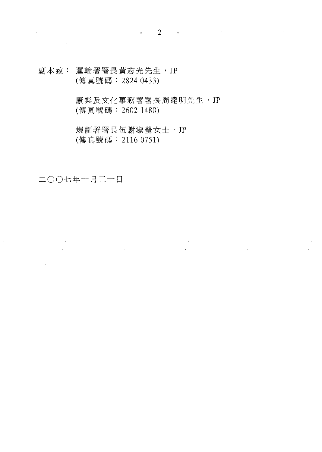副本致: 運輪署署長黃志光先生, JP (傳真號碼: 2824 0433)

> 康樂及文化事務署署長周達明先生, JP (傳真號碼: 2602 1480)

> > $\label{eq:2} \begin{split} \frac{1}{\sqrt{2}}\frac{1}{\sqrt{2}}\frac{1}{\sqrt{2}}\frac{1}{\sqrt{2}}\frac{1}{\sqrt{2}}\frac{1}{\sqrt{2}}\frac{1}{\sqrt{2}}\frac{1}{\sqrt{2}}\frac{1}{\sqrt{2}}\frac{1}{\sqrt{2}}\frac{1}{\sqrt{2}}\frac{1}{\sqrt{2}}\frac{1}{\sqrt{2}}\frac{1}{\sqrt{2}}\frac{1}{\sqrt{2}}\frac{1}{\sqrt{2}}\frac{1}{\sqrt{2}}\frac{1}{\sqrt{2}}\frac{1}{\sqrt{2}}\frac{1}{\sqrt{2}}\frac{1}{\sqrt{$

規劃署署長伍謝淑瑩女士, JP (傳真號碼: 2116 0751)

二〇〇七年十月三十日

 $\mathcal{L}_{\text{max}}$ 

 $\sim 10^7$ 

 $\mathcal{L}^{\text{max}}_{\text{max}}$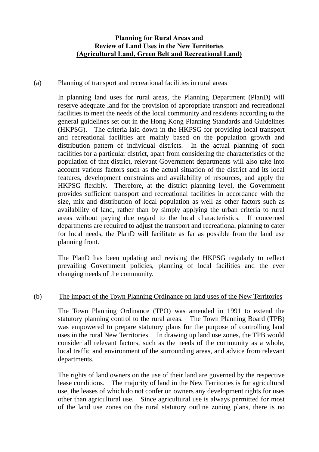### **Planning for Rural Areas and Review of Land Uses in the New Territories (Agricultural Land, Green Belt and Recreational Land)**

### (a) Planning of transport and recreational facilities in rural areas

In planning land uses for rural areas, the Planning Department (PlanD) will reserve adequate land for the provision of appropriate transport and recreational facilities to meet the needs of the local community and residents according to the general guidelines set out in the Hong Kong Planning Standards and Guidelines (HKPSG). The criteria laid down in the HKPSG for providing local transport and recreational facilities are mainly based on the population growth and distribution pattern of individual districts. In the actual planning of such facilities for a particular district, apart from considering the characteristics of the population of that district, relevant Government departments will also take into account various factors such as the actual situation of the district and its local features, development constraints and availability of resources, and apply the HKPSG flexibly. Therefore, at the district planning level, the Government provides sufficient transport and recreational facilities in accordance with the size, mix and distribution of local population as well as other factors such as availability of land, rather than by simply applying the urban criteria to rural areas without paying due regard to the local characteristics. If concerned departments are required to adjust the transport and recreational planning to cater for local needs, the PlanD will facilitate as far as possible from the land use planning front.

The PlanD has been updating and revising the HKPSG regularly to reflect prevailing Government policies, planning of local facilities and the ever changing needs of the community.

### (b) The impact of the Town Planning Ordinance on land uses of the New Territories

The Town Planning Ordinance (TPO) was amended in 1991 to extend the statutory planning control to the rural areas. The Town Planning Board (TPB) was empowered to prepare statutory plans for the purpose of controlling land uses in the rural New Territories. In drawing up land use zones, the TPB would consider all relevant factors, such as the needs of the community as a whole, local traffic and environment of the surrounding areas, and advice from relevant departments.

The rights of land owners on the use of their land are governed by the respective lease conditions. The majority of land in the New Territories is for agricultural use, the leases of which do not confer on owners any development rights for uses other than agricultural use. Since agricultural use is always permitted for most of the land use zones on the rural statutory outline zoning plans, there is no